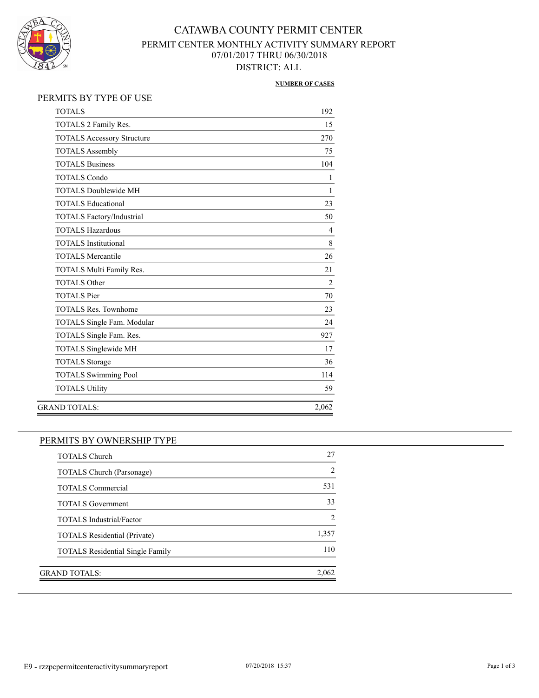

# CATAWBA COUNTY PERMIT CENTER PERMIT CENTER MONTHLY ACTIVITY SUMMARY REPORT 07/01/2017 THRU 06/30/2018 DISTRICT: ALL

### **NUMBER OF CASES**

### PERMITS BY TYPE OF USE

| <b>TOTALS</b>                     | 192            |
|-----------------------------------|----------------|
| TOTALS 2 Family Res.              | 15             |
| <b>TOTALS Accessory Structure</b> | 270            |
| <b>TOTALS Assembly</b>            | 75             |
| <b>TOTALS Business</b>            | 104            |
| <b>TOTALS Condo</b>               | 1              |
| <b>TOTALS Doublewide MH</b>       | 1              |
| <b>TOTALS Educational</b>         | 23             |
| TOTALS Factory/Industrial         | 50             |
| <b>TOTALS Hazardous</b>           | $\overline{4}$ |
| <b>TOTALS</b> Institutional       | 8              |
| <b>TOTALS Mercantile</b>          | 26             |
| TOTALS Multi Family Res.          | 21             |
| <b>TOTALS Other</b>               | $\overline{2}$ |
| <b>TOTALS</b> Pier                | 70             |
| <b>TOTALS Res. Townhome</b>       | 23             |
| <b>TOTALS Single Fam. Modular</b> | 24             |
| TOTALS Single Fam. Res.           | 927            |
| TOTALS Singlewide MH              | 17             |
| <b>TOTALS Storage</b>             | 36             |
| <b>TOTALS Swimming Pool</b>       | 114            |
| <b>TOTALS Utility</b>             | 59             |
| <b>GRAND TOTALS:</b>              | 2,062          |

## PERMITS BY OWNERSHIP TYPE

| TOTALS Church (Parsonage)               |       |
|-----------------------------------------|-------|
| <b>TOTALS Commercial</b>                |       |
| <b>TOTALS</b> Government                |       |
| <b>TOTALS</b> Industrial/Factor         |       |
| <b>TOTALS Residential (Private)</b>     | 1,357 |
| <b>TOTALS</b> Residential Single Family |       |
| GRAND TOTALS:                           | 2.062 |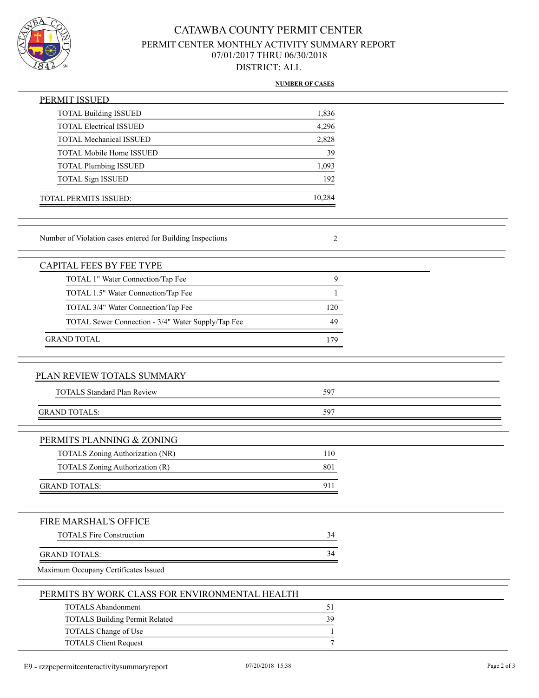

# CATAWBA COUNTY PERMIT CENTER PERMIT CENTER MONTHLY ACTIVITY SUMMARY REPORT 07/01/2017 THRU 06/30/2018 DISTRICT: ALL

### **NUMBER OF CASES**

| <b>PERMIT ISSUED</b>                                       |              |  |
|------------------------------------------------------------|--------------|--|
| <b>TOTAL Building ISSUED</b>                               | 1,836        |  |
| <b>TOTAL Electrical ISSUED</b>                             | 4,296        |  |
| <b>TOTAL Mechanical ISSUED</b>                             | 2,828        |  |
| TOTAL Mobile Home ISSUED                                   | 39           |  |
| <b>TOTAL Plumbing ISSUED</b>                               | 1,093        |  |
| <b>TOTAL Sign ISSUED</b>                                   | 192          |  |
| TOTAL PERMITS ISSUED:                                      | 10,284       |  |
|                                                            |              |  |
| Number of Violation cases entered for Building Inspections | 2            |  |
| <b>CAPITAL FEES BY FEE TYPE</b>                            |              |  |
| TOTAL 1" Water Connection/Tap Fee                          | 9            |  |
| TOTAL 1.5" Water Connection/Tap Fee                        | 1            |  |
| TOTAL 3/4" Water Connection/Tap Fee                        | 120          |  |
| TOTAL Sewer Connection - 3/4" Water Supply/Tap Fee         | 49           |  |
| <b>GRAND TOTAL</b>                                         | 179          |  |
|                                                            |              |  |
|                                                            |              |  |
| PLAN REVIEW TOTALS SUMMARY                                 |              |  |
| <b>TOTALS Standard Plan Review</b>                         | 597          |  |
| <b>GRAND TOTALS:</b>                                       | 597          |  |
|                                                            |              |  |
| PERMITS PLANNING & ZONING                                  |              |  |
| TOTALS Zoning Authorization (NR)                           | 110          |  |
| TOTALS Zoning Authorization (R)                            | 801          |  |
| <b>GRAND TOTALS:</b>                                       | 911          |  |
|                                                            |              |  |
| FIRE MARSHAL'S OFFICE                                      |              |  |
| <b>TOTALS Fire Construction</b>                            | 34           |  |
| <b>GRAND TOTALS:</b>                                       | 34           |  |
| Maximum Occupany Certificates Issued                       |              |  |
| PERMITS BY WORK CLASS FOR ENVIRONMENTAL HEALTH             |              |  |
| <b>TOTALS Abandonment</b>                                  | 51           |  |
| <b>TOTALS Building Permit Related</b>                      | 39           |  |
| TOTALS Change of Use                                       | $\mathbf{1}$ |  |
| <b>TOTALS Client Request</b>                               | 7            |  |